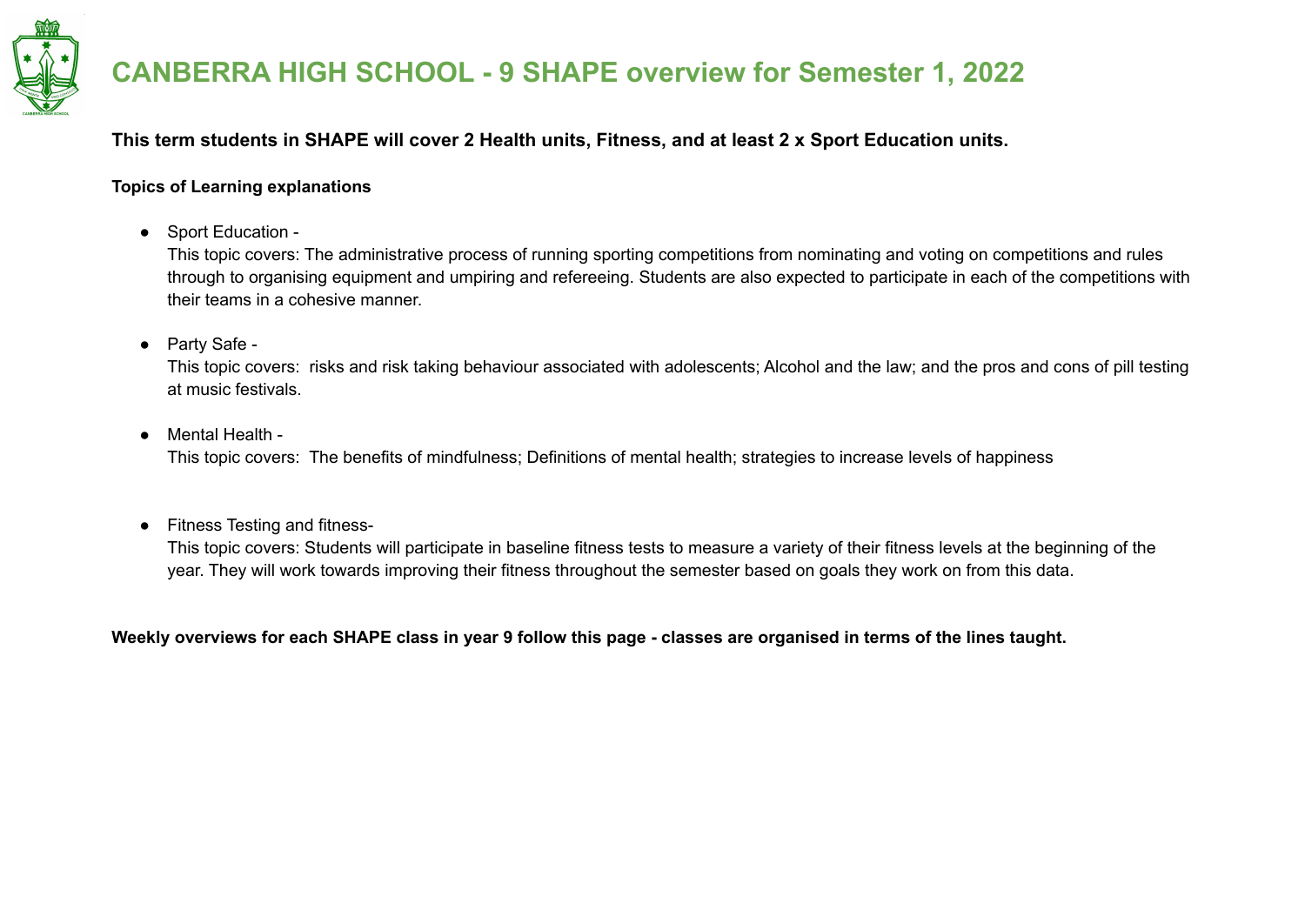

#### **This term students in SHAPE will cover 2 Health units, Fitness, and at least 2 x Sport Education units.**

#### **Topics of Learning explanations**

● Sport Education -

This topic covers: The administrative process of running sporting competitions from nominating and voting on competitions and rules through to organising equipment and umpiring and refereeing. Students are also expected to participate in each of the competitions with their teams in a cohesive manner.

● Party Safe -

This topic covers: risks and risk taking behaviour associated with adolescents; Alcohol and the law; and the pros and cons of pill testing at music festivals.

● Mental Health -

This topic covers: The benefits of mindfulness; Definitions of mental health; strategies to increase levels of happiness

● Fitness Testing and fitness-

This topic covers: Students will participate in baseline fitness tests to measure a variety of their fitness levels at the beginning of the year. They will work towards improving their fitness throughout the semester based on goals they work on from this data.

Weekly overviews for each SHAPE class in year 9 follow this page - classes are organised in terms of the lines taught.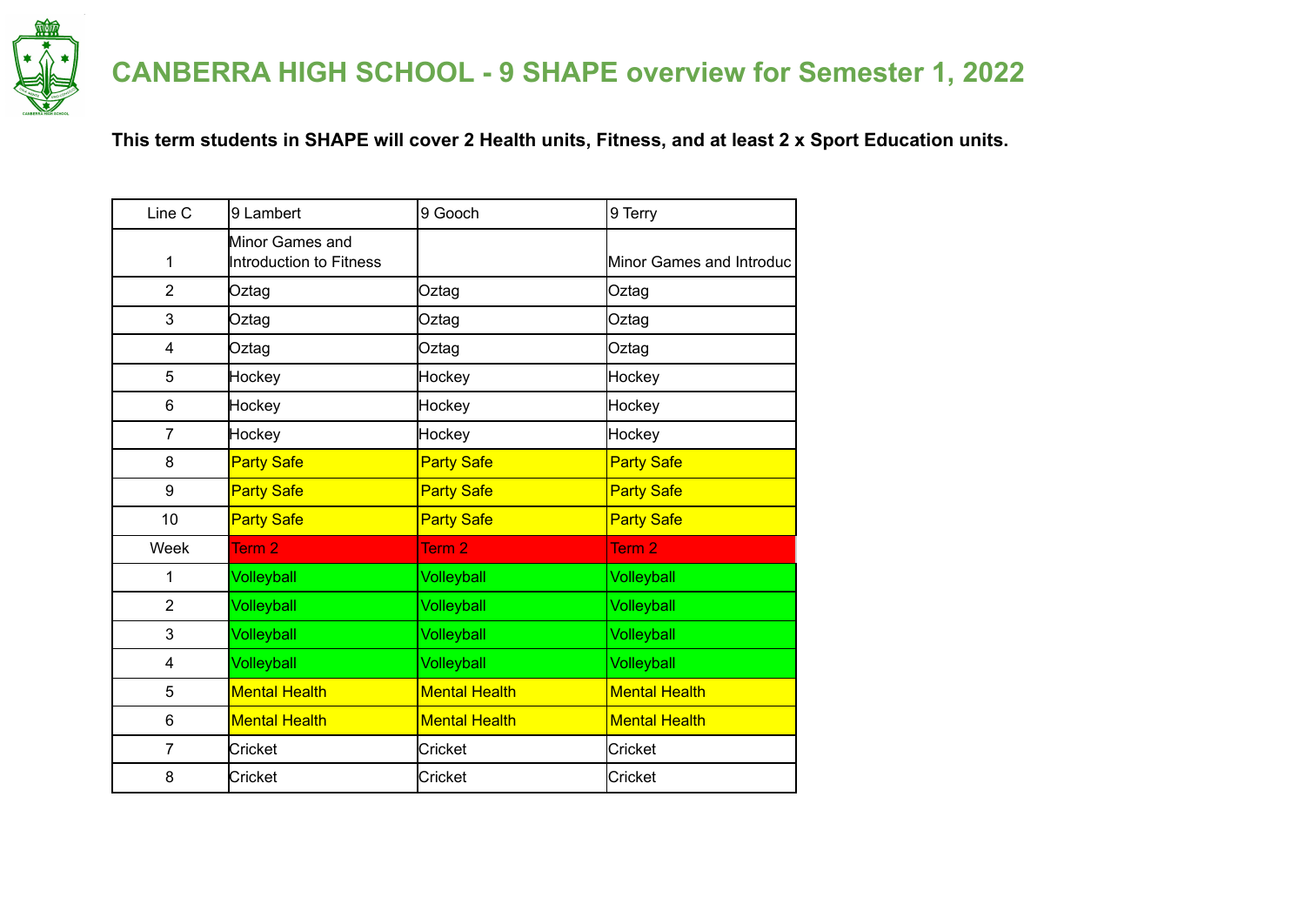

#### **This term students in SHAPE will cover 2 Health units, Fitness, and at least 2 x Sport Education units.**

| Line C          | 9 Lambert                                  | 9 Gooch              | 9 Terry                  |
|-----------------|--------------------------------------------|----------------------|--------------------------|
| 1               | Minor Games and<br>Introduction to Fitness |                      | Minor Games and Introduc |
| $\overline{2}$  | Oztag                                      | Oztag                | Oztag                    |
| 3               | Oztag                                      | Oztag                | Oztag                    |
| 4               | Oztag                                      | Oztag                | Oztag                    |
| 5               | Hockey                                     | Hockey               | Hockey                   |
| $6\phantom{1}6$ | Hockey                                     | Hockey               | Hockey                   |
| 7               | Hockey                                     | Hockey               | Hockey                   |
| 8               | <b>Party Safe</b>                          | <b>Party Safe</b>    | <b>Party Safe</b>        |
| 9               | <b>Party Safe</b>                          | <b>Party Safe</b>    | <b>Party Safe</b>        |
| 10              | <b>Party Safe</b>                          | <b>Party Safe</b>    | <b>Party Safe</b>        |
| Week            | Term 2                                     | Term <sub>2</sub>    | Term <sub>2</sub>        |
| 1               | Volleyball                                 | Volleyball           | Volleyball               |
| $\overline{2}$  | Volleyball                                 | <b>Volleyball</b>    | Volleyball               |
| 3               | Volleyball                                 | <b>Volleyball</b>    | <b>Volleyball</b>        |
| 4               | Volleyball                                 | Volleyball           | Volleyball               |
| 5               | <b>Mental Health</b>                       | <b>Mental Health</b> | <b>Mental Health</b>     |
| 6               | <b>Mental Health</b>                       | <b>Mental Health</b> | <b>Mental Health</b>     |
| 7               | Cricket                                    | Cricket              | Cricket                  |
| 8               | Cricket                                    | Cricket              | Cricket                  |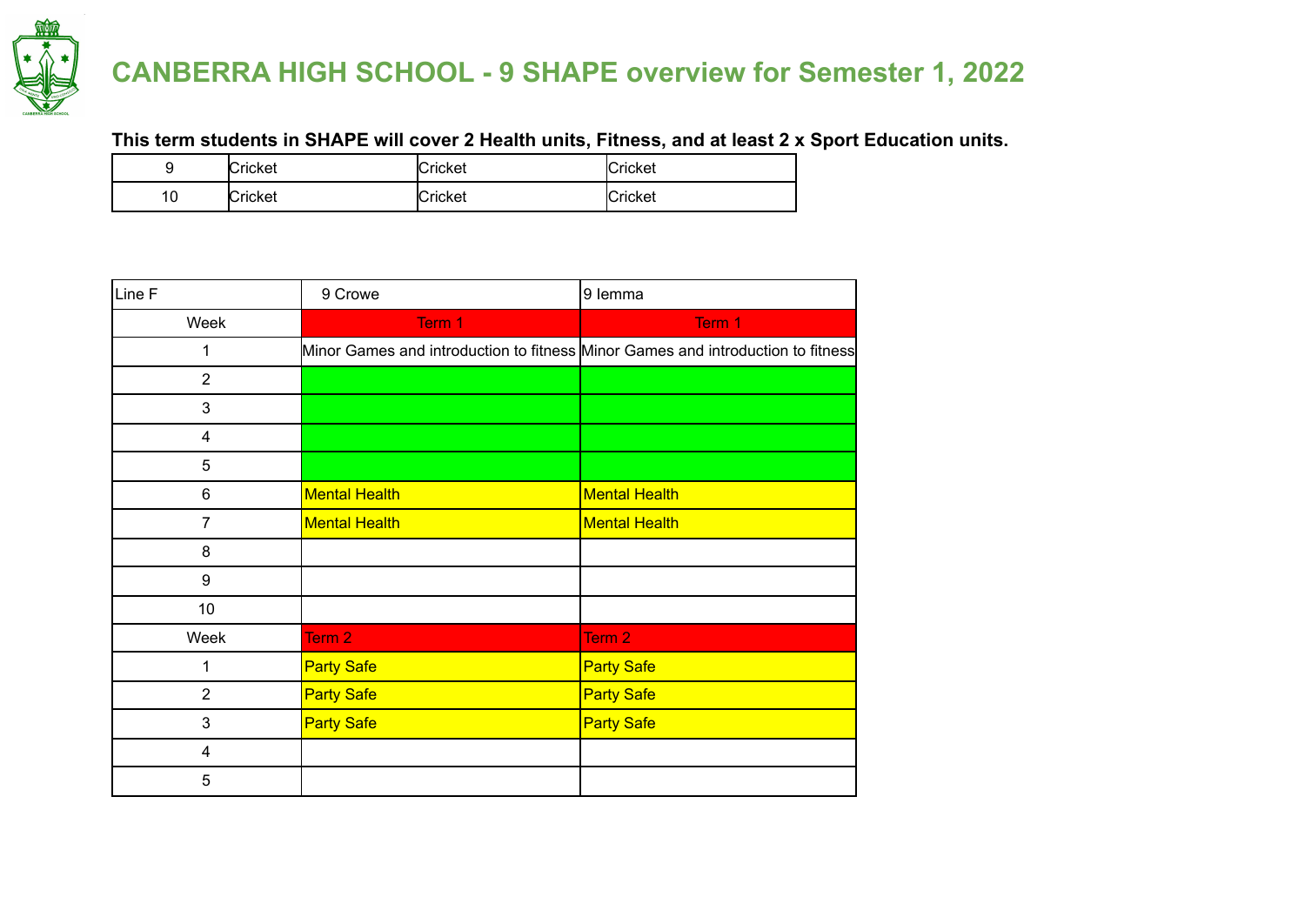

#### **This term students in SHAPE will cover 2 Health units, Fitness, and at least 2 x Sport Education units.**

|         | Cricket | Cricket        | <b>Cricket</b> |
|---------|---------|----------------|----------------|
| ◠<br>١U | Cricket | <b>Cricket</b> | Cricket        |

| Line F         | 9 Crowe                                                                         | 9 lemma              |
|----------------|---------------------------------------------------------------------------------|----------------------|
| Week           | Term 1                                                                          | Term 1               |
| 1              | Minor Games and introduction to fitness Minor Games and introduction to fitness |                      |
| $\overline{2}$ |                                                                                 |                      |
| 3              |                                                                                 |                      |
| 4              |                                                                                 |                      |
| 5              |                                                                                 |                      |
| 6              | <b>Mental Health</b>                                                            | <b>Mental Health</b> |
| 7              | <b>Mental Health</b>                                                            | <b>Mental Health</b> |
| 8              |                                                                                 |                      |
| 9              |                                                                                 |                      |
| 10             |                                                                                 |                      |
| Week           | Term <sub>2</sub>                                                               | Term 2               |
| 1              | <b>Party Safe</b>                                                               | <b>Party Safe</b>    |
| $\overline{2}$ | <b>Party Safe</b>                                                               | <b>Party Safe</b>    |
| 3              | <b>Party Safe</b>                                                               | <b>Party Safe</b>    |
| 4              |                                                                                 |                      |
| 5              |                                                                                 |                      |